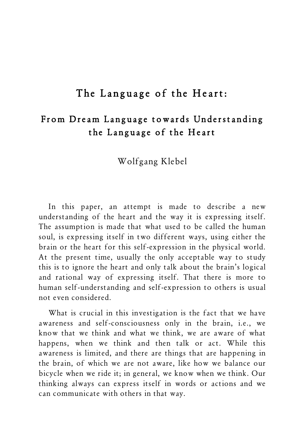## The Language of the Heart:

# From Dream Language towards Understanding the Language of the Heart

Wolfgang Klebel

In this paper, an attempt is made to describe a new understanding of the heart and the way it is expressing itself. The assumption is made that what used to be called the human soul, is expressing itself in two different ways, using either the brain or the heart for this self-expression in the physical world. At the present time, usually the only acceptable way to study this is to ignore the heart and only talk about the brain's logical and rational way of expressing itself. That there is more to human self-understanding and self-expression to others is usual not even considered.

What is crucial in this investigation is the fact that we have awareness and self-consciousness only in the brain, i.e., we know that we think and what we think, we are aware of what happens, when we think and then talk or act. While this awareness is limited, and there are things that are happening in the brain, of which we are not aware, like how we balance our bicycle when we ride it; in general, we know when we think. Our thinking always can express itself in words or actions and we can communicate with others in that way.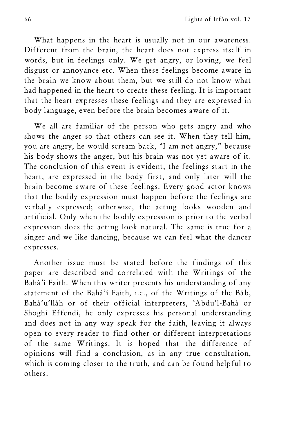What happens in the heart is usually not in our awareness. Different from the brain, the heart does not express itself in words, but in feelings only. We get angry, or loving, we feel disgust or annoyance etc. When these feelings become aware in the brain we know about them, but we still do not know what had happened in the heart to create these feeling. It is important that the heart expresses these feelings and they are expressed in body language, even before the brain becomes aware of it.

We all are familiar of the person who gets angry and who shows the anger so that others can see it. When they tell him, you are angry, he would scream back, "I am not angry," because his body shows the anger, but his brain was not yet aware of it. The conclusion of this event is evident, the feelings start in the heart, are expressed in the body first, and only later will the brain become aware of these feelings. Every good actor knows that the bodily expression must happen before the feelings are verbally expressed; otherwise, the acting looks wooden and artificial. Only when the bodily expression is prior to the verbal expression does the acting look natural. The same is true for a singer and we like dancing, because we can feel what the dancer expresses.

Another issue must be stated before the findings of this paper are described and correlated with the Writings of the Bahá'í Faith. When this writer presents his understanding of any statement of the Bahá'í Faith, i.e., of the Writings of the Báb, Bahá'u'lláh or of their official interpreters, 'Abdu'l-Bahá or Shoghi Effendi, he only expresses his personal understanding and does not in any way speak for the faith, leaving it always open to every reader to find other or different interpretations of the same Writings. It is hoped that the difference of opinions will find a conclusion, as in any true consultation, which is coming closer to the truth, and can be found helpful to others.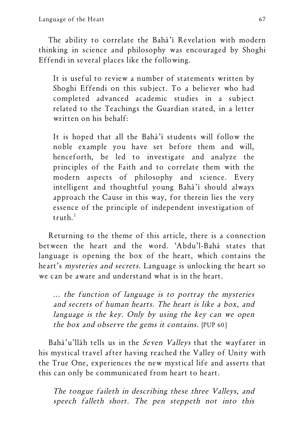The ability to correlate the Bahá'í Revelation with modern thinking in science and philosophy was encouraged by Shoghi Effendi in several places like the following.

It is useful to review a number of statements written by Shoghi Effendi on this subject. To a believer who had completed advanced academic studies in a subject related to the Teachings the Guardian stated, in a letter written on his behalf:

It is hoped that all the Bahá'í students will follow the noble example you have set before them and will, henceforth, be led to investigate and analyze the principles of the Faith and to correlate them with the modern aspects of philosophy and science. Every intelligent and thoughtful young Bahá'í should always approach the Cause in this way, for therein lies the very essence of the principle of independent investigation of  $truth<sup>1</sup>$ 

Returning to the theme of this article, there is a connection between the heart and the word. 'Abdu'l-Bahá states that language is opening the box of the heart, which contains the heart's mysteries and secrets. Language is unlocking the heart so we can be aware and understand what is in the heart.

... the function of language is to portray the mysteries and secrets of human hearts. The heart is like a box, and language is the key. Only by using the key can we open the box and observe the gems it contains. [PUP 60]

Bahá'u'lláh tells us in the Seven Valleys that the wayfarer in his mystical travel after having reached the Valley of Unity with the True One, experiences the new mystical life and asserts that this can only be communicated from heart to heart.

The tongue faileth in describing these three Valleys, and speech falleth short. The pen steppeth not into this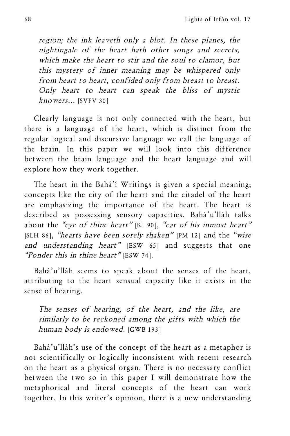region; the ink leaveth only a blot. In these planes, the nightingale of the heart hath other songs and secrets, which make the heart to stir and the soul to clamor, but this mystery of inner meaning may be whispered only from heart to heart, confided only from breast to breast. Only heart to heart can speak the bliss of mystic knowers... [SVFV 30]

Clearly language is not only connected with the heart, but there is a language of the heart, which is distinct from the regular logical and discursive language we call the language of the brain. In this paper we will look into this difference between the brain language and the heart language and will explore how they work together.

The heart in the Bahá'í Writings is given a special meaning; concepts like the city of the heart and the citadel of the heart are emphasizing the importance of the heart. The heart is described as possessing sensory capacities. Bahá'u'lláh talks about the "eye of thine heart" [KI 90], "ear of his inmost heart" [SLH 86], "hearts have been sorely shaken" [PM 12] and the "wise and understanding heart" [ESW 65] and suggests that one "Ponder this in thine heart" [ESW 74].

Bahá'u'lláh seems to speak about the senses of the heart, attributing to the heart sensual capacity like it exists in the sense of hearing.

The senses of hearing, of the heart, and the like, are similarly to be reckoned among the gifts with which the human body is endowed. [GWB 193]

Bahá'u'lláh's use of the concept of the heart as a metaphor is not scientifically or logically inconsistent with recent research on the heart as a physical organ. There is no necessary conflict between the two so in this paper I will demonstrate how the metaphorical and literal concepts of the heart can work together. In this writer's opinion, there is a new understanding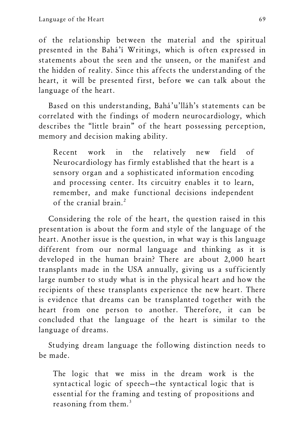of the relationship between the material and the spiritual presented in the Bahá'í Writings, which is often expressed in statements about the seen and the unseen, or the manifest and the hidden of reality. Since this affects the understanding of the heart, it will be presented first, before we can talk about the language of the heart.

Based on this understanding, Bahá'u'lláh's statements can be correlated with the findings of modern neurocardiology, which describes the "little brain" of the heart possessing perception, memory and decision making ability.

Recent work in the relatively new field of Neurocardiology has firmly established that the heart is a sensory organ and a sophisticated information encoding and processing center. Its circuitry enables it to learn, remember, and make functional decisions independent of the cranial brain.<sup>2</sup>

Considering the role of the heart, the question raised in this presentation is about the form and style of the language of the heart. Another issue is the question, in what way is this language different from our normal language and thinking as it is developed in the human brain? There are about 2,000 heart transplants made in the USA annually, giving us a sufficiently large number to study what is in the physical heart and how the recipients of these transplants experience the new heart. There is evidence that dreams can be transplanted together with the heart from one person to another. Therefore, it can be concluded that the language of the heart is similar to the language of dreams.

Studying dream language the following distinction needs to be made.

The logic that we miss in the dream work is the syntactical logic of speech—the syntactical logic that is essential for the framing and testing of propositions and reasoning from them.<sup>3</sup>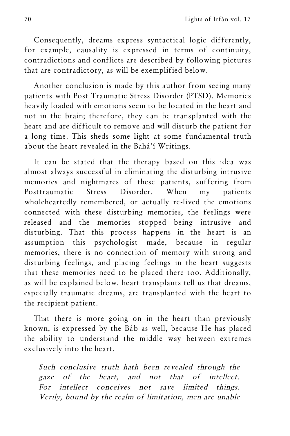Consequently, dreams express syntactical logic differently, for example, causality is expressed in terms of continuity, contradictions and conflicts are described by following pictures that are contradictory, as will be exemplified below.

Another conclusion is made by this author from seeing many patients with Post Traumatic Stress Disorder (PTSD). Memories heavily loaded with emotions seem to be located in the heart and not in the brain; therefore, they can be transplanted with the heart and are difficult to remove and will disturb the patient for a long time. This sheds some light at some fundamental truth about the heart revealed in the Bahá'í Writings.

It can be stated that the therapy based on this idea was almost always successful in eliminating the disturbing intrusive memories and nightmares of these patients, suffering from Posttraumatic Stress Disorder. When my patients wholeheartedly remembered, or actually re-lived the emotions connected with these disturbing memories, the feelings were released and the memories stopped being intrusive and disturbing. That this process happens in the heart is an assumption this psychologist made, because in regular memories, there is no connection of memory with strong and disturbing feelings, and placing feelings in the heart suggests that these memories need to be placed there too. Additionally, as will be explained below, heart transplants tell us that dreams, especially traumatic dreams, are transplanted with the heart to the recipient patient.

That there is more going on in the heart than previously known, is expressed by the Báb as well, because He has placed the ability to understand the middle way between extremes exclusively into the heart.

Such conclusive truth hath been revealed through the gaze of the heart, and not that of intellect. For intellect conceives not save limited things. Verily, bound by the realm of limitation, men are unable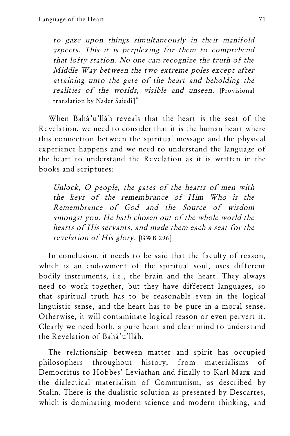to gaze upon things simultaneously in their manifold aspects. This it is perplexing for them to comprehend that lofty station. No one can recognize the truth of the Middle Way between the two extreme poles except after attaining unto the gate of the heart and beholding the realities of the worlds, visible and unseen. [Provisional translation by Nader Saiedi] 4

When Bahá'u'lláh reveals that the heart is the seat of the Revelation, we need to consider that it is the human heart where this connection between the spiritual message and the physical experience happens and we need to understand the language of the heart to understand the Revelation as it is written in the books and scriptures:

Unlock, O people, the gates of the hearts of men with the keys of the remembrance of Him Who is the Remembrance of God and the Source of wisdom amongst you. He hath chosen out of the whole world the hearts of His servants, and made them each a seat for the revelation of His glory. [GWB 296]

In conclusion, it needs to be said that the faculty of reason, which is an endowment of the spiritual soul, uses different bodily instruments, i.e., the brain and the heart. They always need to work together, but they have different languages, so that spiritual truth has to be reasonable even in the logical linguistic sense, and the heart has to be pure in a moral sense. Otherwise, it will contaminate logical reason or even pervert it. Clearly we need both, a pure heart and clear mind to understand the Revelation of Bahá'u'lláh.

The relationship between matter and spirit has occupied philosophers throughout history, from materialisms of Democritus to Hobbes' Leviathan and finally to Karl Marx and the dialectical materialism of Communism, as described by Stalin. There is the dualistic solution as presented by Descartes, which is dominating modern science and modern thinking, and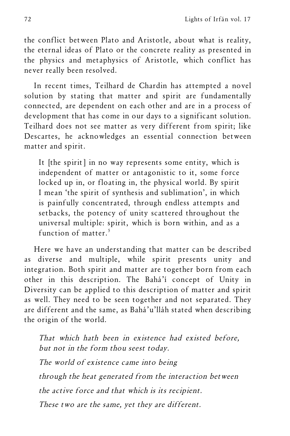the conflict between Plato and Aristotle, about what is reality, the eternal ideas of Plato or the concrete reality as presented in the physics and metaphysics of Aristotle, which conflict has never really been resolved.

In recent times, Teilhard de Chardin has attempted a novel solution by stating that matter and spirit are fundamentally connected, are dependent on each other and are in a process of development that has come in our days to a significant solution. Teilhard does not see matter as very different from spirit; like Descartes, he acknowledges an essential connection between matter and spirit.

It [the spirit] in no way represents some entity, which is independent of matter or antagonistic to it, some force locked up in, or floating in, the physical world. By spirit I mean 'the spirit of synthesis and sublimation', in which is painfully concentrated, through endless attempts and setbacks, the potency of unity scattered throughout the universal multiple: spirit, which is born within, and as a function of matter.<sup>5</sup>

Here we have an understanding that matter can be described as diverse and multiple, while spirit presents unity and integration. Both spirit and matter are together born from each other in this description. The Bahá'í concept of Unity in Diversity can be applied to this description of matter and spirit as well. They need to be seen together and not separated. They are different and the same, as Bahá'u'lláh stated when describing the origin of the world.

That which hath been in existence had existed before, but not in the form thou seest today. The world of existence came into being through the heat generated from the interaction between the active force and that which is its recipient. These two are the same, yet they are different.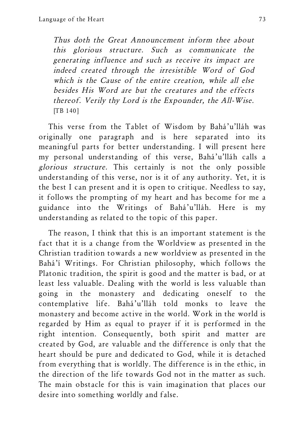Thus doth the Great Announcement inform thee about this glorious structure. Such as communicate the generating influence and such as receive its impact are indeed created through the irresistible Word of God which is the Cause of the entire creation, while all else besides His Word are but the creatures and the effects thereof. Verily thy Lord is the Expounder, the All-Wise. [TB 140]

This verse from the Tablet of Wisdom by Bahá'u'lláh was originally one paragraph and is here separated into its meaningful parts for better understanding. I will present here my personal understanding of this verse, Bahá'u'lláh calls a glorious structure. This certainly is not the only possible understanding of this verse, nor is it of any authority. Yet, it is the best I can present and it is open to critique. Needless to say, it follows the prompting of my heart and has become for me a guidance into the Writings of Bahá'u'lláh. Here is my understanding as related to the topic of this paper.

The reason, I think that this is an important statement is the fact that it is a change from the Worldview as presented in the Christian tradition towards a new worldview as presented in the Bahá'í Writings. For Christian philosophy, which follows the Platonic tradition, the spirit is good and the matter is bad, or at least less valuable. Dealing with the world is less valuable than going in the monastery and dedicating oneself to the contemplative life. Bahá'u'lláh told monks to leave the monastery and become active in the world. Work in the world is regarded by Him as equal to prayer if it is performed in the right intention. Consequently, both spirit and matter are created by God, are valuable and the difference is only that the heart should be pure and dedicated to God, while it is detached from everything that is worldly. The difference is in the ethic, in the direction of the life towards God not in the matter as such. The main obstacle for this is vain imagination that places our desire into something worldly and false.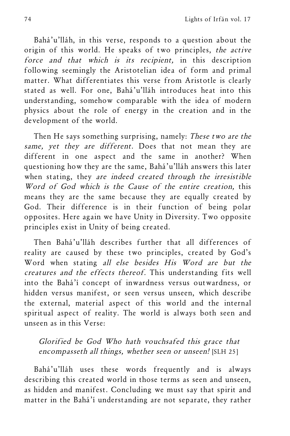Bahá'u'lláh, in this verse, responds to a question about the origin of this world. He speaks of two principles, the active force and that which is its recipient, in this description following seemingly the Aristotelian idea of form and primal matter. What differentiates this verse from Aristotle is clearly stated as well. For one, Bahá'u'lláh introduces heat into this understanding, somehow comparable with the idea of modern physics about the role of energy in the creation and in the development of the world.

Then He says something surprising, namely: These two are the same, yet they are different. Does that not mean they are different in one aspect and the same in another? When questioning how they are the same, Bahá'u'lláh answers this later when stating, they are indeed created through the irresistible Word of God which is the Cause of the entire creation, this means they are the same because they are equally created by God. Their difference is in their function of being polar opposites. Here again we have Unity in Diversity. Two opposite principles exist in Unity of being created.

Then Bahá'u'lláh describes further that all differences of reality are caused by these two principles, created by God's Word when stating all else besides His Word are but the creatures and the effects thereof. This understanding fits well into the Bahá'í concept of inwardness versus outwardness, or hidden versus manifest, or seen versus unseen, which describe the external, material aspect of this world and the internal spiritual aspect of reality. The world is always both seen and unseen as in this Verse:

Glorified be God Who hath vouchsafed this grace that encompasseth all things, whether seen or unseen! [SLH 25]

Bahá'u'lláh uses these words frequently and is always describing this created world in those terms as seen and unseen, as hidden and manifest. Concluding we must say that spirit and matter in the Bahá'í understanding are not separate, they rather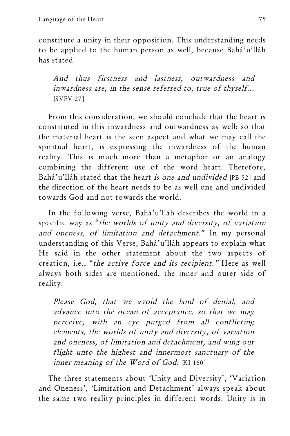constitute a unity in their opposition. This understanding needs to be applied to the human person as well, because Bahá'u'lláh has stated

And thus firstness and lastness, outwardness and inwardness are, in the sense referred to, true of thyself... [SVFV 27]

From this consideration, we should conclude that the heart is constituted in this inwardness and outwardness as well; so that the material heart is the seen aspect and what we may call the spiritual heart, is expressing the inwardness of the human reality. This is much more than a metaphor or an analogy combining the different use of the word heart. Therefore, Bahá'u'lláh stated that the heart is one and undivided [PB 52] and the direction of the heart needs to be as well one and undivided towards God and not towards the world.

In the following verse, Bahá'u'lláh describes the world in a specific way as "the worlds of unity and diversity, of variation and oneness, of limitation and detachment." In my personal understanding of this Verse, Bahá'u'lláh appears to explain what He said in the other statement about the two aspects of creation, i.e., "the active force and its recipient." Here as well always both sides are mentioned, the inner and outer side of reality.

Please God, that we avoid the land of denial, and advance into the ocean of acceptance, so that we may perceive, with an eye purged from all conflicting elements, the worlds of unity and diversity, of variation and oneness, of limitation and detachment, and wing our flight unto the highest and innermost sanctuary of the inner meaning of the Word of God. [KI 160]

The three statements about 'Unity and Diversity', 'Variation and Oneness', 'Limitation and Detachment' always speak about the same two reality principles in different words. Unity is in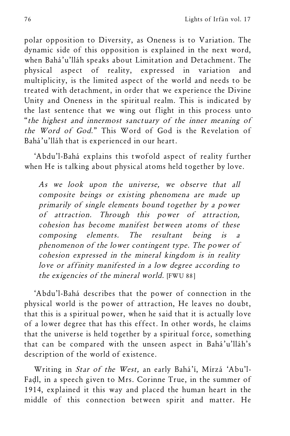polar opposition to Diversity, as Oneness is to Variation. The dynamic side of this opposition is explained in the next word, when Bahá'u'lláh speaks about Limitation and Detachment. The physical aspect of reality, expressed in variation and multiplicity, is the limited aspect of the world and needs to be treated with detachment, in order that we experience the Divine Unity and Oneness in the spiritual realm. This is indicated by the last sentence that we wing out flight in this process unto "the highest and innermost sanctuary of the inner meaning of the Word of God." This Word of God is the Revelation of Bahá'u'lláh that is experienced in our heart.

'Abdu'l-Bahá explains this twofold aspect of reality further when He is talking about physical atoms held together by love.

As we look upon the universe, we observe that all composite beings or existing phenomena are made up primarily of single elements bound together by a power of attraction. Through this power of attraction, cohesion has become manifest between atoms of these composing elements. The resultant being is a phenomenon of the lower contingent type. The power of cohesion expressed in the mineral kingdom is in reality love or affinity manifested in a low degree according to the exigencies of the mineral world. [FWU 88]

'Abdu'l-Bahá describes that the power of connection in the physical world is the power of attraction, He leaves no doubt, that this is a spiritual power, when he said that it is actually love of a lower degree that has this effect. In other words, he claims that the universe is held together by a spiritual force, something that can be compared with the unseen aspect in Bahá'u'lláh's description of the world of existence.

Writing in Star of the West, an early Bahá'í, Mírzá 'Abu'l-Fa∂l, in a speech given to Mrs. Corinne True, in the summer of 1914, explained it this way and placed the human heart in the middle of this connection between spirit and matter. He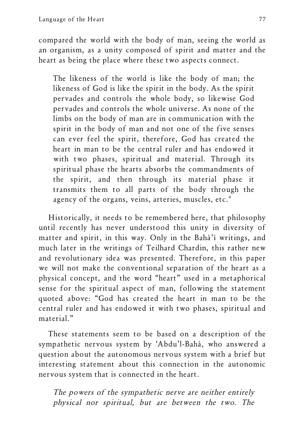compared the world with the body of man, seeing the world as an organism, as a unity composed of spirit and matter and the heart as being the place where these two aspects connect.

The likeness of the world is like the body of man; the likeness of God is like the spirit in the body. As the spirit pervades and controls the whole body, so likewise God pervades and controls the whole universe. As none of the limbs on the body of man are in communication with the spirit in the body of man and not one of the five senses can ever feel the spirit, therefore, God has created the heart in man to be the central ruler and has endowed it with two phases, spiritual and material. Through its spiritual phase the hearts absorbs the commandments of the spirit, and then through its material phase it transmits them to all parts of the body through the agency of the organs, veins, arteries, muscles, etc. $^6$ 

Historically, it needs to be remembered here, that philosophy until recently has never understood this unity in diversity of matter and spirit, in this way. Only in the Bahá'í writings, and much later in the writings of Teilhard Chardin, this rather new and revolutionary idea was presented. Therefore, in this paper we will not make the conventional separation of the heart as a physical concept, and the word "heart" used in a metaphorical sense for the spiritual aspect of man, following the statement quoted above: "God has created the heart in man to be the central ruler and has endowed it with two phases, spiritual and material."

These statements seem to be based on a description of the sympathetic nervous system by 'Abdu'l-Bahá, who answered a question about the autonomous nervous system with a brief but interesting statement about this connection in the autonomic nervous system that is connected in the heart.

The powers of the sympathetic nerve are neither entirely physical nor spiritual, but are between the two. The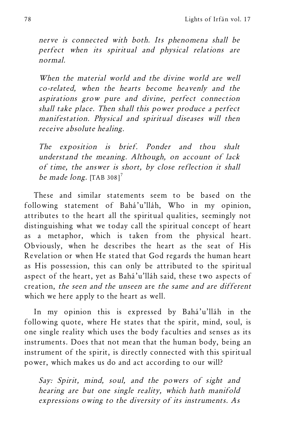nerve is connected with both. Its phenomena shall be perfect when its spiritual and physical relations are normal.

When the material world and the divine world are well co-related, when the hearts become heavenly and the aspirations grow pure and divine, perfect connection shall take place. Then shall this power produce a perfect manifestation. Physical and spiritual diseases will then receive absolute healing.

The exposition is brief. Ponder and thou shalt understand the meaning. Although, on account of lack of time, the answer is short, by close reflection it shall be made long. [TAB 308]<sup>7</sup>

These and similar statements seem to be based on the following statement of Bahá'u'lláh, Who in my opinion, attributes to the heart all the spiritual qualities, seemingly not distinguishing what we today call the spiritual concept of heart as a metaphor, which is taken from the physical heart. Obviously, when he describes the heart as the seat of His Revelation or when He stated that God regards the human heart as His possession, this can only be attributed to the spiritual aspect of the heart, yet as Bahá'u'lláh said, these two aspects of creation, the seen and the unseen are the same and are different which we here apply to the heart as well.

In my opinion this is expressed by Bahá'u'lláh in the following quote, where He states that the spirit, mind, soul, is one single reality which uses the body faculties and senses as its instruments. Does that not mean that the human body, being an instrument of the spirit, is directly connected with this spiritual power, which makes us do and act according to our will?

Say: Spirit, mind, soul, and the powers of sight and hearing are but one single reality, which hath manifold expressions owing to the diversity of its instruments. As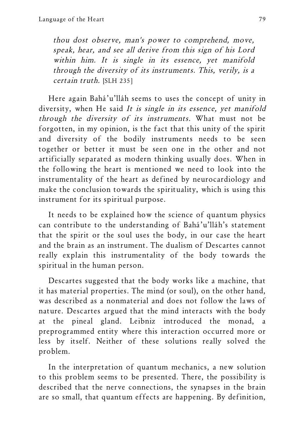thou dost observe, man's power to comprehend, move, speak, hear, and see all derive from this sign of his Lord within him. It is single in its essence, yet manifold through the diversity of its instruments. This, verily, is a certain truth. [SLH 235]

Here again Bahá'u'lláh seems to uses the concept of unity in diversity, when He said It is single in its essence, yet manifold through the diversity of its instruments. What must not be forgotten, in my opinion, is the fact that this unity of the spirit and diversity of the bodily instruments needs to be seen together or better it must be seen one in the other and not artificially separated as modern thinking usually does. When in the following the heart is mentioned we need to look into the instrumentality of the heart as defined by neurocardiology and make the conclusion towards the spirituality, which is using this instrument for its spiritual purpose.

It needs to be explained how the science of quantum physics can contribute to the understanding of Bahá'u'lláh's statement that the spirit or the soul uses the body, in our case the heart and the brain as an instrument. The dualism of Descartes cannot really explain this instrumentality of the body towards the spiritual in the human person.

Descartes suggested that the body works like a machine, that it has material properties. The mind (or soul), on the other hand, was described as a nonmaterial and does not follow the laws of nature. Descartes argued that the mind interacts with the body at the pineal gland. Leibniz introduced the monad, a preprogrammed entity where this interaction occurred more or less by itself. Neither of these solutions really solved the problem.

In the interpretation of quantum mechanics, a new solution to this problem seems to be presented. There, the possibility is described that the nerve connections, the synapses in the brain are so small, that quantum effects are happening. By definition,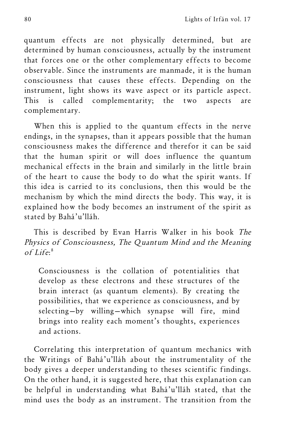quantum effects are not physically determined, but are determined by human consciousness, actually by the instrument that forces one or the other complementary effects to become observable. Since the instruments are manmade, it is the human consciousness that causes these effects. Depending on the instrument, light shows its wave aspect or its particle aspect. This is called complementarity; the two aspects are complementary.

When this is applied to the quantum effects in the nerve endings, in the synapses, than it appears possible that the human consciousness makes the difference and therefor it can be said that the human spirit or will does influence the quantum mechanical effects in the brain and similarly in the little brain of the heart to cause the body to do what the spirit wants. If this idea is carried to its conclusions, then this would be the mechanism by which the mind directs the body. This way, it is explained how the body becomes an instrument of the spirit as stated by Bahá'u'lláh.

This is described by Evan Harris Walker in his book The Physics of Consciousness, The Quantum Mind and the Meaning of Life: 8

Consciousness is the collation of potentialities that develop as these electrons and these structures of the brain interact (as quantum elements). By creating the possibilities, that we experience as consciousness, and by selecting—by willing—which synapse will fire, mind brings into reality each moment's thoughts, experiences and actions.

Correlating this interpretation of quantum mechanics with the Writings of Bahá'u'lláh about the instrumentality of the body gives a deeper understanding to theses scientific findings. On the other hand, it is suggested here, that this explanation can be helpful in understanding what Bahá'u'lláh stated, that the mind uses the body as an instrument. The transition from the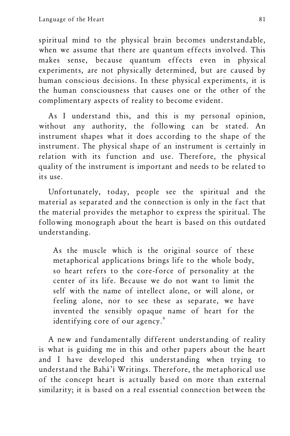spiritual mind to the physical brain becomes understandable, when we assume that there are quantum effects involved. This makes sense, because quantum effects even in physical experiments, are not physically determined, but are caused by human conscious decisions. In these physical experiments, it is the human consciousness that causes one or the other of the complimentary aspects of reality to become evident.

As I understand this, and this is my personal opinion, without any authority, the following can be stated. An instrument shapes what it does according to the shape of the instrument. The physical shape of an instrument is certainly in relation with its function and use. Therefore, the physical quality of the instrument is important and needs to be related to its use.

Unfortunately, today, people see the spiritual and the material as separated and the connection is only in the fact that the material provides the metaphor to express the spiritual. The following monograph about the heart is based on this outdated understanding.

As the muscle which is the original source of these metaphorical applications brings life to the whole body, so heart refers to the core-force of personality at the center of its life. Because we do not want to limit the self with the name of intellect alone, or will alone, or feeling alone, nor to see these as separate, we have invented the sensibly opaque name of heart for the identifying core of our agency.<sup>9</sup>

A new and fundamentally different understanding of reality is what is guiding me in this and other papers about the heart and I have developed this understanding when trying to understand the Bahá'í Writings. Therefore, the metaphorical use of the concept heart is actually based on more than external similarity; it is based on a real essential connection between the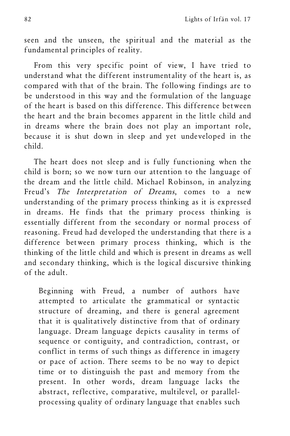seen and the unseen, the spiritual and the material as the fundamental principles of reality.

From this very specific point of view, I have tried to understand what the different instrumentality of the heart is, as compared with that of the brain. The following findings are to be understood in this way and the formulation of the language of the heart is based on this difference. This difference between the heart and the brain becomes apparent in the little child and in dreams where the brain does not play an important role, because it is shut down in sleep and yet undeveloped in the child.

The heart does not sleep and is fully functioning when the child is born; so we now turn our attention to the language of the dream and the little child. Michael Robinson, in analyzing Freud's The Interpretation of Dreams, comes to a new understanding of the primary process thinking as it is expressed in dreams. He finds that the primary process thinking is essentially different from the secondary or normal process of reasoning. Freud had developed the understanding that there is a difference between primary process thinking, which is the thinking of the little child and which is present in dreams as well and secondary thinking, which is the logical discursive thinking of the adult.

Beginning with Freud, a number of authors have attempted to articulate the grammatical or syntactic structure of dreaming, and there is general agreement that it is qualitatively distinctive from that of ordinary language. Dream language depicts causality in terms of sequence or contiguity, and contradiction, contrast, or conflict in terms of such things as difference in imagery or pace of action. There seems to be no way to depict time or to distinguish the past and memory from the present. In other words, dream language lacks the abstract, reflective, comparative, multilevel, or parallelprocessing quality of ordinary language that enables such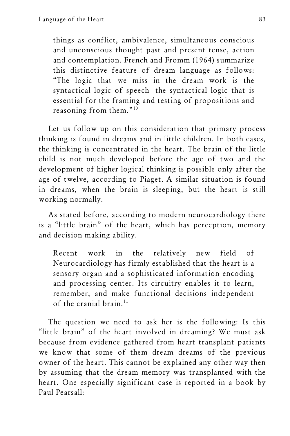things as conflict, ambivalence, simultaneous conscious and unconscious thought past and present tense, action and contemplation. French and Fromm (1964) summarize this distinctive feature of dream language as follows: "The logic that we miss in the dream work is the syntactical logic of speech—the syntactical logic that is essential for the framing and testing of propositions and reasoning from them."10

Let us follow up on this consideration that primary process thinking is found in dreams and in little children. In both cases, the thinking is concentrated in the heart. The brain of the little child is not much developed before the age of two and the development of higher logical thinking is possible only after the age of twelve, according to Piaget. A similar situation is found in dreams, when the brain is sleeping, but the heart is still working normally.

As stated before, according to modern neurocardiology there is a "little brain" of the heart, which has perception, memory and decision making ability.

Recent work in the relatively new field of Neurocardiology has firmly established that the heart is a sensory organ and a sophisticated information encoding and processing center. Its circuitry enables it to learn, remember, and make functional decisions independent of the cranial brain. $^{11}$ 

The question we need to ask her is the following: Is this "little brain" of the heart involved in dreaming? We must ask because from evidence gathered from heart transplant patients we know that some of them dream dreams of the previous owner of the heart. This cannot be explained any other way then by assuming that the dream memory was transplanted with the heart. One especially significant case is reported in a book by Paul Pearsall: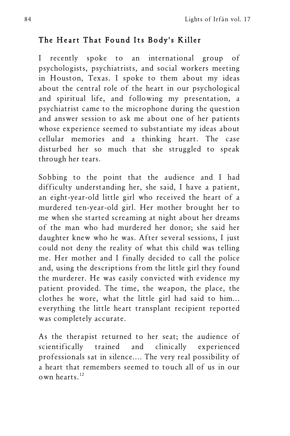### The Heart That Found Its Body's Killer

I recently spoke to an international group of psychologists, psychiatrists, and social workers meeting in Houston, Texas. I spoke to them about my ideas about the central role of the heart in our psychological and spiritual life, and following my presentation, a psychiatrist came to the microphone during the question and answer session to ask me about one of her patients whose experience seemed to substantiate my ideas about cellular memories and a thinking heart. The case disturbed her so much that she struggled to speak through her tears.

Sobbing to the point that the audience and I had difficulty understanding her, she said, I have a patient, an eight-year-old little girl who received the heart of a murdered ten-year-old girl. Her mother brought her to me when she started screaming at night about her dreams of the man who had murdered her donor; she said her daughter knew who he was. After several sessions, I just could not deny the reality of what this child was telling me. Her mother and I finally decided to call the police and, using the descriptions from the little girl they found the murderer. He was easily convicted with evidence my patient provided. The time, the weapon, the place, the clothes he wore, what the little girl had said to him... everything the little heart transplant recipient reported was completely accurate.

As the therapist returned to her seat; the audience of scientifically trained and clinically experienced professionals sat in silence.... The very real possibility of a heart that remembers seemed to touch all of us in our  $\alpha$ wn hearts<sup>12</sup>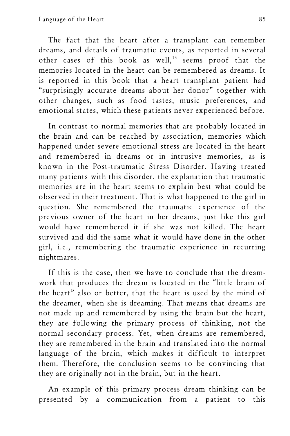The fact that the heart after a transplant can remember dreams, and details of traumatic events, as reported in several other cases of this book as well,<sup>13</sup> seems proof that the memories located in the heart can be remembered as dreams. It is reported in this book that a heart transplant patient had "surprisingly accurate dreams about her donor" together with other changes, such as food tastes, music preferences, and emotional states, which these patients never experienced before.

In contrast to normal memories that are probably located in the brain and can be reached by association, memories which happened under severe emotional stress are located in the heart and remembered in dreams or in intrusive memories, as is known in the Post-traumatic Stress Disorder. Having treated many patients with this disorder, the explanation that traumatic memories are in the heart seems to explain best what could be observed in their treatment. That is what happened to the girl in question. She remembered the traumatic experience of the previous owner of the heart in her dreams, just like this girl would have remembered it if she was not killed. The heart survived and did the same what it would have done in the other girl, i.e., remembering the traumatic experience in recurring nightmares.

If this is the case, then we have to conclude that the dreamwork that produces the dream is located in the "little brain of the heart" also or better, that the heart is used by the mind of the dreamer, when she is dreaming. That means that dreams are not made up and remembered by using the brain but the heart, they are following the primary process of thinking, not the normal secondary process. Yet, when dreams are remembered, they are remembered in the brain and translated into the normal language of the brain, which makes it difficult to interpret them. Therefore, the conclusion seems to be convincing that they are originally not in the brain, but in the heart.

An example of this primary process dream thinking can be presented by a communication from a patient to this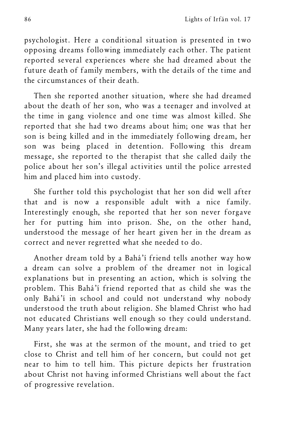psychologist. Here a conditional situation is presented in two opposing dreams following immediately each other. The patient reported several experiences where she had dreamed about the future death of family members, with the details of the time and the circumstances of their death.

Then she reported another situation, where she had dreamed about the death of her son, who was a teenager and involved at the time in gang violence and one time was almost killed. She reported that she had two dreams about him; one was that her son is being killed and in the immediately following dream, her son was being placed in detention. Following this dream message, she reported to the therapist that she called daily the police about her son's illegal activities until the police arrested him and placed him into custody.

She further told this psychologist that her son did well after that and is now a responsible adult with a nice family. Interestingly enough, she reported that her son never forgave her for putting him into prison. She, on the other hand, understood the message of her heart given her in the dream as correct and never regretted what she needed to do.

Another dream told by a Bahá'í friend tells another way how a dream can solve a problem of the dreamer not in logical explanations but in presenting an action, which is solving the problem. This Bahá'í friend reported that as child she was the only Bahá'í in school and could not understand why nobody understood the truth about religion. She blamed Christ who had not educated Christians well enough so they could understand. Many years later, she had the following dream:

First, she was at the sermon of the mount, and tried to get close to Christ and tell him of her concern, but could not get near to him to tell him. This picture depicts her frustration about Christ not having informed Christians well about the fact of progressive revelation.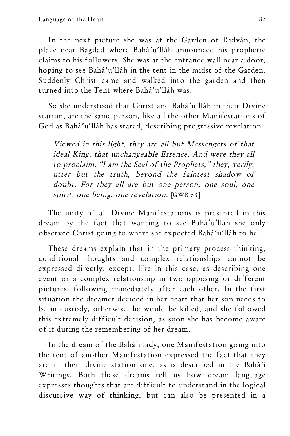In the next picture she was at the Garden of Ridván, the place near Bagdad where Bahá'u'lláh announced his prophetic claims to his followers. She was at the entrance wall near a door, hoping to see Bahá'u'lláh in the tent in the midst of the Garden. Suddenly Christ came and walked into the garden and then turned into the Tent where Bahá'u'lláh was.

So she understood that Christ and Bahá'u'lláh in their Divine station, are the same person, like all the other Manifestations of God as Bahá'u'lláh has stated, describing progressive revelation:

Viewed in this light, they are all but Messengers of that ideal King, that unchangeable Essence. And were they all to proclaim, "I am the Seal of the Prophets," they, verily, utter but the truth, beyond the faintest shadow of doubt. For they all are but one person, one soul, one spirit, one being, one revelation. [GWB 53]

The unity of all Divine Manifestations is presented in this dream by the fact that wanting to see Bahá'u'lláh she only observed Christ going to where she expected Bahá'u'lláh to be.

These dreams explain that in the primary process thinking, conditional thoughts and complex relationships cannot be expressed directly, except, like in this case, as describing one event or a complex relationship in two opposing or different pictures, following immediately after each other. In the first situation the dreamer decided in her heart that her son needs to be in custody, otherwise, he would be killed, and she followed this extremely difficult decision, as soon she has become aware of it during the remembering of her dream.

In the dream of the Bahá'í lady, one Manifestation going into the tent of another Manifestation expressed the fact that they are in their divine station one, as is described in the Bahá'í Writings. Both these dreams tell us how dream language expresses thoughts that are difficult to understand in the logical discursive way of thinking, but can also be presented in a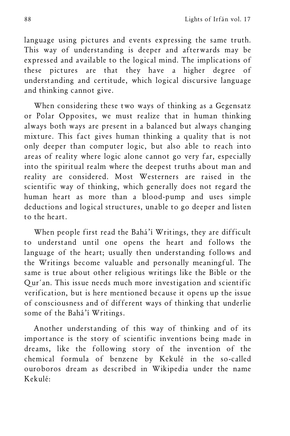language using pictures and events expressing the same truth. This way of understanding is deeper and afterwards may be expressed and available to the logical mind. The implications of these pictures are that they have a higher degree of understanding and certitude, which logical discursive language and thinking cannot give.

When considering these two ways of thinking as a Gegensatz or Polar Opposites, we must realize that in human thinking always both ways are present in a balanced but always changing mixture. This fact gives human thinking a quality that is not only deeper than computer logic, but also able to reach into areas of reality where logic alone cannot go very far, especially into the spiritual realm where the deepest truths about man and reality are considered. Most Westerners are raised in the scientific way of thinking, which generally does not regard the human heart as more than a blood-pump and uses simple deductions and logical structures, unable to go deeper and listen to the heart.

When people first read the Bahá'í Writings, they are difficult to understand until one opens the heart and follows the language of the heart; usually then understanding follows and the Writings become valuable and personally meaningful. The same is true about other religious writings like the Bible or the Qur´an. This issue needs much more investigation and scientific verification, but is here mentioned because it opens up the issue of consciousness and of different ways of thinking that underlie some of the Bahá'í Writings.

Another understanding of this way of thinking and of its importance is the story of scientific inventions being made in dreams, like the following story of the invention of the chemical formula of benzene by Kekulé in the so-called ouroboros dream as described in Wikipedia under the name Kekulé: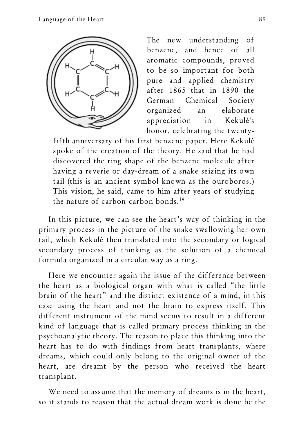

The new understanding of benzene, and hence of all aromatic compounds, proved to be so important for both pure and applied chemistry after 1865 that in 1890 the German Chemical Society organized an elaborate appreciation in Kekulé's honor, celebrating the twenty-

fifth anniversary of his first benzene paper. Here Kekulé spoke of the creation of the theory. He said that he had discovered the ring shape of the benzene molecule after having a reverie or day-dream of a snake seizing its own tail (this is an ancient symbol known as the ouroboros.) This vision, he said, came to him after years of studying the nature of carbon-carbon bonds.<sup>14</sup>

In this picture, we can see the heart's way of thinking in the primary process in the picture of the snake swallowing her own tail, which Kekulé then translated into the secondary or logical secondary process of thinking as the solution of a chemical formula organized in a circular way as a ring.

Here we encounter again the issue of the difference between the heart as a biological organ with what is called "the little brain of the heart" and the distinct existence of a mind, in this case using the heart and not the brain to express itself. This different instrument of the mind seems to result in a different kind of language that is called primary process thinking in the psychoanalytic theory. The reason to place this thinking into the heart has to do with findings from heart transplants, where dreams, which could only belong to the original owner of the heart, are dreamt by the person who received the heart transplant.

We need to assume that the memory of dreams is in the heart, so it stands to reason that the actual dream work is done be the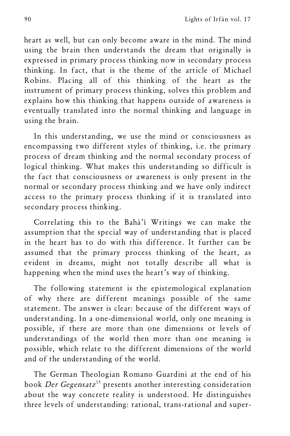heart as well, but can only become aware in the mind. The mind using the brain then understands the dream that originally is expressed in primary process thinking now in secondary process thinking. In fact, that is the theme of the article of Michael Robins. Placing all of this thinking of the heart as the instrument of primary process thinking, solves this problem and explains how this thinking that happens outside of awareness is eventually translated into the normal thinking and language in using the brain.

In this understanding, we use the mind or consciousness as encompassing two different styles of thinking, i.e. the primary process of dream thinking and the normal secondary process of logical thinking. What makes this understanding so difficult is the fact that consciousness or awareness is only present in the normal or secondary process thinking and we have only indirect access to the primary process thinking if it is translated into secondary process thinking.

Correlating this to the Bahá'í Writings we can make the assumption that the special way of understanding that is placed in the heart has to do with this difference. It further can be assumed that the primary process thinking of the heart, as evident in dreams, might not totally describe all what is happening when the mind uses the heart's way of thinking.

The following statement is the epistemological explanation of why there are different meanings possible of the same statement. The answer is clear: because of the different ways of understanding. In a one-dimensional world, only one meaning is possible, if there are more than one dimensions or levels of understandings of the world then more than one meaning is possible, which relate to the different dimensions of the world and of the understanding of the world.

The German Theologian Romano Guardini at the end of his book Der Gegensatz<sup>15</sup> presents another interesting consideration about the way concrete reality is understood. He distinguishes three levels of understanding: rational, trans-rational and super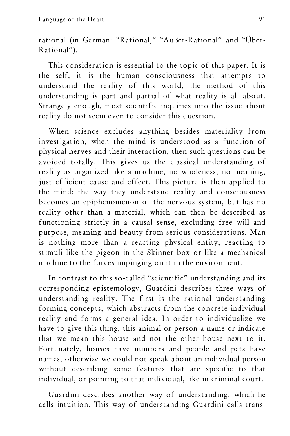rational (in German: "Rational," "Außer-Rational" and "Über-Rational").

This consideration is essential to the topic of this paper. It is the self, it is the human consciousness that attempts to understand the reality of this world, the method of this understanding is part and partial of what reality is all about. Strangely enough, most scientific inquiries into the issue about reality do not seem even to consider this question.

When science excludes anything besides materiality from investigation, when the mind is understood as a function of physical nerves and their interaction, then such questions can be avoided totally. This gives us the classical understanding of reality as organized like a machine, no wholeness, no meaning, just efficient cause and effect. This picture is then applied to the mind; the way they understand reality and consciousness becomes an epiphenomenon of the nervous system, but has no reality other than a material, which can then be described as functioning strictly in a causal sense, excluding free will and purpose, meaning and beauty from serious considerations. Man is nothing more than a reacting physical entity, reacting to stimuli like the pigeon in the Skinner box or like a mechanical machine to the forces impinging on it in the environment.

In contrast to this so-called "scientific" understanding and its corresponding epistemology, Guardini describes three ways of understanding reality. The first is the rational understanding forming concepts, which abstracts from the concrete individual reality and forms a general idea. In order to individualize we have to give this thing, this animal or person a name or indicate that we mean this house and not the other house next to it. Fortunately, houses have numbers and people and pets have names, otherwise we could not speak about an individual person without describing some features that are specific to that individual, or pointing to that individual, like in criminal court.

Guardini describes another way of understanding, which he calls intuition. This way of understanding Guardini calls trans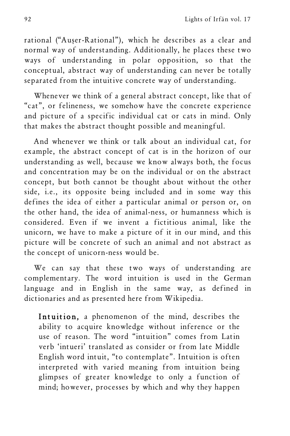rational ("Auser-Rational"), which he describes as a clear and normal way of understanding. Additionally, he places these two ways of understanding in polar opposition, so that the conceptual, abstract way of understanding can never be totally separated from the intuitive concrete way of understanding.

Whenever we think of a general abstract concept, like that of "cat", or felineness, we somehow have the concrete experience and picture of a specific individual cat or cats in mind. Only that makes the abstract thought possible and meaningful.

And whenever we think or talk about an individual cat, for example, the abstract concept of cat is in the horizon of our understanding as well, because we know always both, the focus and concentration may be on the individual or on the abstract concept, but both cannot be thought about without the other side, i.e., its opposite being included and in some way this defines the idea of either a particular animal or person or, on the other hand, the idea of animal-ness, or humanness which is considered. Even if we invent a fictitious animal, like the unicorn, we have to make a picture of it in our mind, and this picture will be concrete of such an animal and not abstract as the concept of unicorn-ness would be.

We can say that these two ways of understanding are complementary. The word intuition is used in the German language and in English in the same way, as defined in dictionaries and as presented here from Wikipedia.

Intuition, a phenomenon of the mind, describes the ability to acquire knowledge without inference or the use of reason. The word "intuition" comes from Latin verb 'intueri' translated as consider or from late Middle English word intuit, "to contemplate". Intuition is often interpreted with varied meaning from intuition being glimpses of greater knowledge to only a function of mind; however, processes by which and why they happen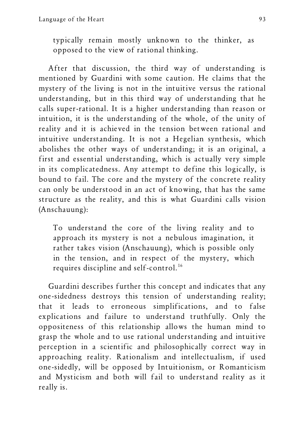typically remain mostly unknown to the thinker, as opposed to the view of rational thinking.

After that discussion, the third way of understanding is mentioned by Guardini with some caution. He claims that the mystery of the living is not in the intuitive versus the rational understanding, but in this third way of understanding that he calls super-rational. It is a higher understanding than reason or intuition, it is the understanding of the whole, of the unity of reality and it is achieved in the tension between rational and intuitive understanding. It is not a Hegelian synthesis, which abolishes the other ways of understanding; it is an original, a first and essential understanding, which is actually very simple in its complicatedness. Any attempt to define this logically, is bound to fail. The core and the mystery of the concrete reality can only be understood in an act of knowing, that has the same structure as the reality, and this is what Guardini calls vision (Anschauung):

To understand the core of the living reality and to approach its mystery is not a nebulous imagination, it rather takes vision (Anschauung), which is possible only in the tension, and in respect of the mystery, which requires discipline and self-control.<sup>16</sup>

Guardini describes further this concept and indicates that any one-sidedness destroys this tension of understanding reality; that it leads to erroneous simplifications, and to false explications and failure to understand truthfully. Only the oppositeness of this relationship allows the human mind to grasp the whole and to use rational understanding and intuitive perception in a scientific and philosophically correct way in approaching reality. Rationalism and intellectualism, if used one-sidedly, will be opposed by Intuitionism, or Romanticism and Mysticism and both will fail to understand reality as it really is.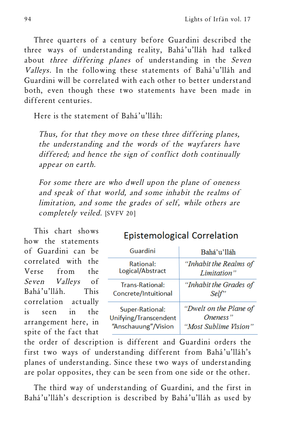Three quarters of a century before Guardini described the three ways of understanding reality, Bahá'u'lláh had talked about three differing planes of understanding in the Seven Valleys. In the following these statements of Bahá'u'lláh and Guardini will be correlated with each other to better understand both, even though these two statements have been made in different centuries.

Here is the statement of Bahá'u'lláh:

Thus, for that they move on these three differing planes, the understanding and the words of the wayfarers have differed; and hence the sign of conflict doth continually appear on earth.

For some there are who dwell upon the plane of oneness and speak of that world, and some inhabit the realms of limitation, and some the grades of self, while others are completely veiled. [SVFV 20]

This chart shows how the statements of Guardini can be correlated with the Verse from the Seven Valleys of Bahá'u'lláh. This correlation actually is seen in the arrangement here, in spite of the fact that

| Guardini              | Bahá'u'lláh            |
|-----------------------|------------------------|
| Rational:             | "Inhabit the Realms of |
| Logical/Abstract      | Limitation"            |
| Trans-Rational:       | "Inhabit the Grades of |
| Concrete/Intuitional  | Self"                  |
| Super-Rational:       | "Dwelt on the Plane of |
| Unifying/Transcendent | Oneness"               |
| "Anschauung"/Vision   | "Most Sublime Vision"  |

Epistemological Correlation

the order of description is different and Guardini orders the first two ways of understanding different from Bahá'u'lláh's planes of understanding. Since these two ways of understanding are polar opposites, they can be seen from one side or the other.

The third way of understanding of Guardini, and the first in Bahá'u'lláh's description is described by Bahá'u'lláh as used by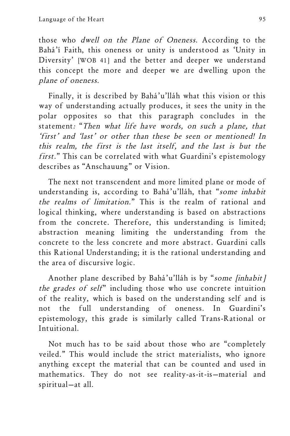those who dwell on the Plane of Oneness. According to the Bahá'í Faith, this oneness or unity is understood as 'Unity in Diversity' [WOB 41] and the better and deeper we understand this concept the more and deeper we are dwelling upon the <sup>p</sup>lane of oneness.

Finally, it is described by Bahá'u'lláh what this vision or this way of understanding actually produces, it sees the unity in the polar opposites so that this paragraph concludes in the statement: "Then what life have words, on such a plane, that 'first' and 'last' or other than these be seen or mentioned! In this realm, the first is the last itself, and the last is but the first." This can be correlated with what Guardini's epistemology describes as "Anschauung" or Vision.

The next not transcendent and more limited plane or mode of understanding is, according to Bahá'u'lláh, that "some inhabit the realms of limitation." This is the realm of rational and logical thinking, where understanding is based on abstractions from the concrete. Therefore, this understanding is limited; abstraction meaning limiting the understanding from the concrete to the less concrete and more abstract. Guardini calls this Rational Understanding; it is the rational understanding and the area of discursive logic.

Another plane described by Bahá'u'lláh is by "some [inhabit] the grades of self" including those who use concrete intuition of the reality, which is based on the understanding self and is not the full understanding of oneness. In Guardini's epistemology, this grade is similarly called Trans-Rational or Intuitional.

Not much has to be said about those who are "completely veiled." This would include the strict materialists, who ignore anything except the material that can be counted and used in mathematics. They do not see reality-as-it-is—material and spiritual—at all.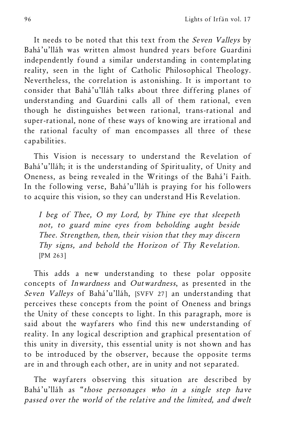It needs to be noted that this text from the Seven Valleys by Bahá'u'lláh was written almost hundred years before Guardini independently found a similar understanding in contemplating reality, seen in the light of Catholic Philosophical Theology. Nevertheless, the correlation is astonishing. It is important to consider that Bahá'u'lláh talks about three differing planes of understanding and Guardini calls all of them rational, even though he distinguishes between rational, trans-rational and super-rational, none of these ways of knowing are irrational and the rational faculty of man encompasses all three of these capabilities.

This Vision is necessary to understand the Revelation of Bahá'u'lláh; it is the understanding of Spirituality, of Unity and Oneness, as being revealed in the Writings of the Bahá'í Faith. In the following verse, Bahá'u'lláh is praying for his followers to acquire this vision, so they can understand His Revelation.

I beg of Thee, O my Lord, by Thine eye that sleepeth not, to guard mine eyes from beholding aught beside Thee. Strengthen, then, their vision that they may discern Thy signs, and behold the Horizon of Thy Revelation. [PM 263]

This adds a new understanding to these polar opposite concepts of Inwardness and Outwardness, as presented in the Seven Valleys of Bahá'u'lláh, [SVFV 27] an understanding that perceives these concepts from the point of Oneness and brings the Unity of these concepts to light. In this paragraph, more is said about the wayfarers who find this new understanding of reality. In any logical description and graphical presentation of this unity in diversity, this essential unity is not shown and has to be introduced by the observer, because the opposite terms are in and through each other, are in unity and not separated.

The wayfarers observing this situation are described by Bahá'u'lláh as "those personages who in a single step have passed over the world of the relative and the limited, and dwelt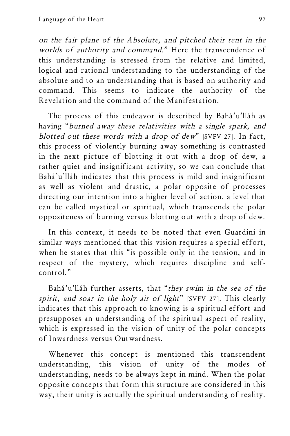on the fair plane of the Absolute, and pitched their tent in the worlds of authority and command." Here the transcendence of this understanding is stressed from the relative and limited, logical and rational understanding to the understanding of the absolute and to an understanding that is based on authority and command. This seems to indicate the authority of the Revelation and the command of the Manifestation.

The process of this endeavor is described by Bahá'u'lláh as having "burned away these relativities with a single spark, and blotted out these words with a drop of dew" [SVFV 27]. In fact, this process of violently burning away something is contrasted in the next picture of blotting it out with a drop of dew, a rather quiet and insignificant activity, so we can conclude that Bahá'u'lláh indicates that this process is mild and insignificant as well as violent and drastic, a polar opposite of processes directing our intention into a higher level of action, a level that can be called mystical or spiritual, which transcends the polar oppositeness of burning versus blotting out with a drop of dew.

In this context, it needs to be noted that even Guardini in similar ways mentioned that this vision requires a special effort, when he states that this "is possible only in the tension, and in respect of the mystery, which requires discipline and selfcontrol."

Bahá'u'lláh further asserts, that "they swim in the sea of the spirit, and soar in the holy air of light" [SVFV 27]. This clearly indicates that this approach to knowing is a spiritual effort and presupposes an understanding of the spiritual aspect of reality, which is expressed in the vision of unity of the polar concepts of Inwardness versus Outwardness.

Whenever this concept is mentioned this transcendent understanding, this vision of unity of the modes of understanding, needs to be always kept in mind. When the polar opposite concepts that form this structure are considered in this way, their unity is actually the spiritual understanding of reality.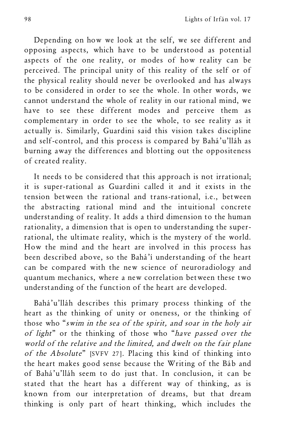Depending on how we look at the self, we see different and opposing aspects, which have to be understood as potential aspects of the one reality, or modes of how reality can be perceived. The principal unity of this reality of the self or of the physical reality should never be overlooked and has always to be considered in order to see the whole. In other words, we cannot understand the whole of reality in our rational mind, we have to see these different modes and perceive them as complementary in order to see the whole, to see reality as it actually is. Similarly, Guardini said this vision takes discipline and self-control, and this process is compared by Bahá'u'lláh as burning away the differences and blotting out the oppositeness of created reality.

It needs to be considered that this approach is not irrational; it is super-rational as Guardini called it and it exists in the tension between the rational and trans-rational, i.e., between the abstracting rational mind and the intuitional concrete understanding of reality. It adds a third dimension to the human rationality, a dimension that is open to understanding the superrational, the ultimate reality, which is the mystery of the world. How the mind and the heart are involved in this process has been described above, so the Bahá'í understanding of the heart can be compared with the new science of neuroradiology and quantum mechanics, where a new correlation between these two understanding of the function of the heart are developed.

Bahá'u'lláh describes this primary process thinking of the heart as the thinking of unity or oneness, or the thinking of those who "swim in the sea of the spirit, and soar in the holy air of light" or the thinking of those who "have passed over the world of the relative and the limited, and dwelt on the fair plane of the Absolute" [SVFV 27]. Placing this kind of thinking into the heart makes good sense because the Writing of the Báb and of Bahá'u'lláh seem to do just that. In conclusion, it can be stated that the heart has a different way of thinking, as is known from our interpretation of dreams, but that dream thinking is only part of heart thinking, which includes the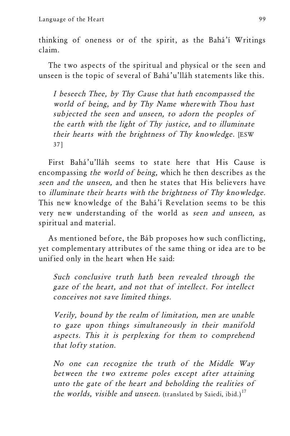thinking of oneness or of the spirit, as the Bahá'í Writings claim.

The two aspects of the spiritual and physical or the seen and unseen is the topic of several of Bahá'u'lláh statements like this.

I beseech Thee, by Thy Cause that hath encompassed the world of being, and by Thy Name wherewith Thou hast subjected the seen and unseen, to adorn the peoples of the earth with the light of Thy justice, and to illuminate their hearts with the brightness of Thy knowledge. [ESW 37]

First Bahá'u'lláh seems to state here that His Cause is encompassing the world of being, which he then describes as the seen and the unseen, and then he states that His believers have to illuminate their hearts with the brightness of Thy knowledge. This new knowledge of the Bahá'í Revelation seems to be this very new understanding of the world as seen and unseen, as spiritual and material.

As mentioned before, the Báb proposes how such conflicting, yet complementary attributes of the same thing or idea are to be unified only in the heart when He said:

Such conclusive truth hath been revealed through the gaze of the heart, and not that of intellect. For intellect conceives not save limited things.

Verily, bound by the realm of limitation, men are unable to gaze upon things simultaneously in their manifold aspects. This it is perplexing for them to comprehend that lofty station.

No one can recognize the truth of the Middle Way between the two extreme poles except after attaining unto the gate of the heart and beholding the realities of the worlds, visible and unseen. (translated by Saiedi, ibid.)<sup>17</sup>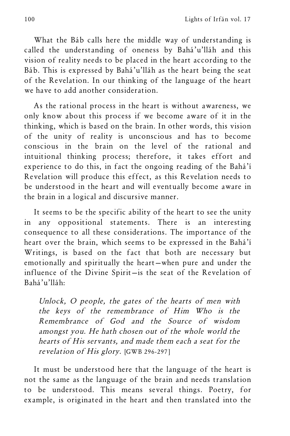What the Báb calls here the middle way of understanding is called the understanding of oneness by Bahá'u'lláh and this vision of reality needs to be placed in the heart according to the Báb. This is expressed by Bahá'u'lláh as the heart being the seat of the Revelation. In our thinking of the language of the heart we have to add another consideration.

As the rational process in the heart is without awareness, we only know about this process if we become aware of it in the thinking, which is based on the brain. In other words, this vision of the unity of reality is unconscious and has to become conscious in the brain on the level of the rational and intuitional thinking process; therefore, it takes effort and experience to do this, in fact the ongoing reading of the Bahá'í Revelation will produce this effect, as this Revelation needs to be understood in the heart and will eventually become aware in the brain in a logical and discursive manner.

It seems to be the specific ability of the heart to see the unity in any oppositional statements. There is an interesting consequence to all these considerations. The importance of the heart over the brain, which seems to be expressed in the Bahá'í Writings, is based on the fact that both are necessary but emotionally and spiritually the heart—when pure and under the influence of the Divine Spirit—is the seat of the Revelation of Bahá'u'lláh:

Unlock, O people, the gates of the hearts of men with the keys of the remembrance of Him Who is the Remembrance of God and the Source of wisdom amongst you. He hath chosen out of the whole world the hearts of His servants, and made them each a seat for the revelation of His glory. [GWB 296-297]

It must be understood here that the language of the heart is not the same as the language of the brain and needs translation to be understood. This means several things. Poetry, for example, is originated in the heart and then translated into the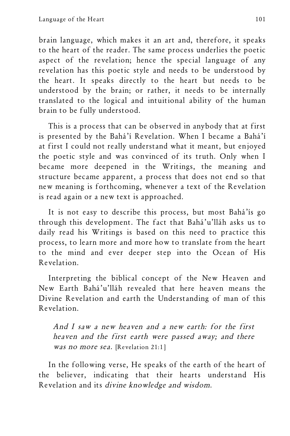brain language, which makes it an art and, therefore, it speaks to the heart of the reader. The same process underlies the poetic aspect of the revelation; hence the special language of any revelation has this poetic style and needs to be understood by the heart. It speaks directly to the heart but needs to be understood by the brain; or rather, it needs to be internally translated to the logical and intuitional ability of the human brain to be fully understood.

This is a process that can be observed in anybody that at first is presented by the Bahá'í Revelation. When I became a Bahá'í at first I could not really understand what it meant, but enjoyed the poetic style and was convinced of its truth. Only when I became more deepened in the Writings, the meaning and structure became apparent, a process that does not end so that new meaning is forthcoming, whenever a text of the Revelation is read again or a new text is approached.

It is not easy to describe this process, but most Bahá'ís go through this development. The fact that Bahá'u'lláh asks us to daily read his Writings is based on this need to practice this process, to learn more and more how to translate from the heart to the mind and ever deeper step into the Ocean of His Revelation.

Interpreting the biblical concept of the New Heaven and New Earth Bahá'u'lláh revealed that here heaven means the Divine Revelation and earth the Understanding of man of this Revelation.

And I saw a new heaven and a new earth: for the first heaven and the first earth were passed away; and there was no more sea. [Revelation 21:1]

In the following verse, He speaks of the earth of the heart of the believer, indicating that their hearts understand His Revelation and its divine knowledge and wisdom.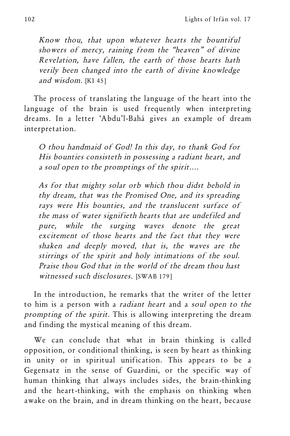Know thou, that upon whatever hearts the bountiful showers of mercy, raining from the "heaven" of divine Revelation, have fallen, the earth of those hearts hath verily been changed into the earth of divine knowledge and wisdom. [KI 45]

The process of translating the language of the heart into the language of the brain is used frequently when interpreting dreams. In a letter 'Abdu'l-Bahá gives an example of dream interpretation.

O thou handmaid of God! In this day, to thank God for His bounties consisteth in possessing a radiant heart, and a soul open to the promptings of the spirit....

As for that mighty solar orb which thou didst behold in thy dream, that was the Promised One, and its spreading rays were His bounties, and the translucent surface of the mass of water signifieth hearts that are undefiled and pure, while the surging waves denote the great excitement of those hearts and the fact that they were shaken and deeply moved, that is, the waves are the stirrings of the spirit and holy intimations of the soul. Praise thou God that in the world of the dream thou hast witnessed such disclosures. [SWAB 179]

In the introduction, he remarks that the writer of the letter to him is a person with a radiant heart and a soul open to the prompting of the spirit. This is allowing interpreting the dream and finding the mystical meaning of this dream.

We can conclude that what in brain thinking is called opposition, or conditional thinking, is seen by heart as thinking in unity or in spiritual unification. This appears to be a Gegensatz in the sense of Guardini, or the specific way of human thinking that always includes sides, the brain-thinking and the heart-thinking, with the emphasis on thinking when awake on the brain, and in dream thinking on the heart, because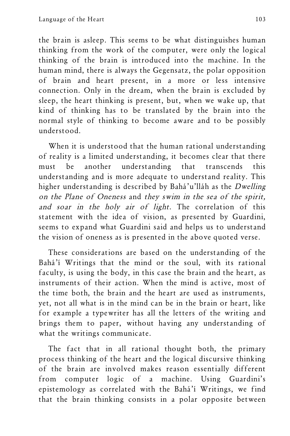the brain is asleep. This seems to be what distinguishes human thinking from the work of the computer, were only the logical thinking of the brain is introduced into the machine. In the human mind, there is always the Gegensatz, the polar opposition of brain and heart present, in a more or less intensive connection. Only in the dream, when the brain is excluded by sleep, the heart thinking is present, but, when we wake up, that kind of thinking has to be translated by the brain into the normal style of thinking to become aware and to be possibly understood.

When it is understood that the human rational understanding of reality is a limited understanding, it becomes clear that there must be another understanding that transcends this understanding and is more adequate to understand reality. This higher understanding is described by Bahá'u'lláh as the Dwelling on the Plane of Oneness and they swim in the sea of the spirit, and soar in the holy air of light. The correlation of this statement with the idea of vision, as presented by Guardini, seems to expand what Guardini said and helps us to understand the vision of oneness as is presented in the above quoted verse.

These considerations are based on the understanding of the Bahá'í Writings that the mind or the soul, with its rational faculty, is using the body, in this case the brain and the heart, as instruments of their action. When the mind is active, most of the time both, the brain and the heart are used as instruments, yet, not all what is in the mind can be in the brain or heart, like for example a typewriter has all the letters of the writing and brings them to paper, without having any understanding of what the writings communicate.

The fact that in all rational thought both, the primary process thinking of the heart and the logical discursive thinking of the brain are involved makes reason essentially different from computer logic of a machine. Using Guardini's epistemology as correlated with the Bahá'í Writings, we find that the brain thinking consists in a polar opposite between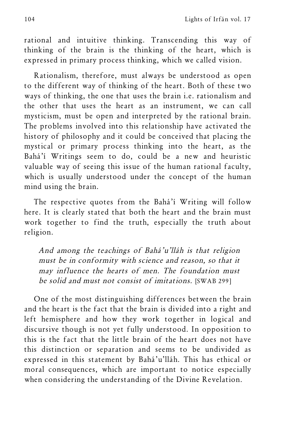rational and intuitive thinking. Transcending this way of thinking of the brain is the thinking of the heart, which is expressed in primary process thinking, which we called vision.

Rationalism, therefore, must always be understood as open to the different way of thinking of the heart. Both of these two ways of thinking, the one that uses the brain i.e. rationalism and the other that uses the heart as an instrument, we can call mysticism, must be open and interpreted by the rational brain. The problems involved into this relationship have activated the history of philosophy and it could be conceived that placing the mystical or primary process thinking into the heart, as the Bahá'í Writings seem to do, could be a new and heuristic valuable way of seeing this issue of the human rational faculty, which is usually understood under the concept of the human mind using the brain.

The respective quotes from the Bahá'í Writing will follow here. It is clearly stated that both the heart and the brain must work together to find the truth, especially the truth about religion.

And among the teachings of Bahá'u'lláh is that religion must be in conformity with science and reason, so that it may influence the hearts of men. The foundation must be solid and must not consist of imitations. [SWAB 299]

One of the most distinguishing differences between the brain and the heart is the fact that the brain is divided into a right and left hemisphere and how they work together in logical and discursive though is not yet fully understood. In opposition to this is the fact that the little brain of the heart does not have this distinction or separation and seems to be undivided as expressed in this statement by Bahá'u'lláh. This has ethical or moral consequences, which are important to notice especially when considering the understanding of the Divine Revelation.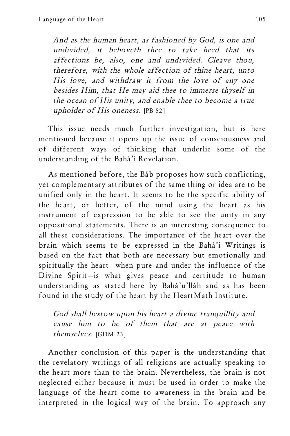And as the human heart, as fashioned by God, is one and undivided, it behoveth thee to take heed that its affections be, also, one and undivided. Cleave thou, therefore, with the whole affection of thine heart, unto His love, and withdraw it from the love of any one besides Him, that He may aid thee to immerse thyself in the ocean of His unity, and enable thee to become a true upholder of His oneness. [PB 52]

This issue needs much further investigation, but is here mentioned because it opens up the issue of consciousness and of different ways of thinking that underlie some of the understanding of the Bahá'í Revelation.

As mentioned before, the Báb proposes how such conflicting, yet complementary attributes of the same thing or idea are to be unified only in the heart. It seems to be the specific ability of the heart, or better, of the mind using the heart as his instrument of expression to be able to see the unity in any oppositional statements. There is an interesting consequence to all these considerations. The importance of the heart over the brain which seems to be expressed in the Bahá'í Writings is based on the fact that both are necessary but emotionally and spiritually the heart—when pure and under the influence of the Divine Spirit—is what gives peace and certitude to human understanding as stated here by Bahá'u'lláh and as has been found in the study of the heart by the HeartMath Institute.

God shall bestow upon his heart a divine tranquillity and cause him to be of them that are at peace with themselves. [GDM 23]

Another conclusion of this paper is the understanding that the revelatory writings of all religions are actually speaking to the heart more than to the brain. Nevertheless, the brain is not neglected either because it must be used in order to make the language of the heart come to awareness in the brain and be interpreted in the logical way of the brain. To approach any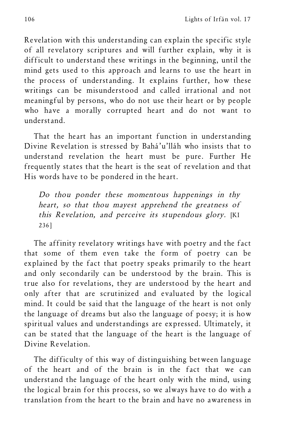Revelation with this understanding can explain the specific style of all revelatory scriptures and will further explain, why it is difficult to understand these writings in the beginning, until the mind gets used to this approach and learns to use the heart in the process of understanding. It explains further, how these writings can be misunderstood and called irrational and not meaningful by persons, who do not use their heart or by people who have a morally corrupted heart and do not want to understand.

That the heart has an important function in understanding Divine Revelation is stressed by Bahá'u'lláh who insists that to understand revelation the heart must be pure. Further He frequently states that the heart is the seat of revelation and that His words have to be pondered in the heart.

Do thou ponder these momentous happenings in thy heart, so that thou mayest apprehend the greatness of this Revelation, and perceive its stupendous glory. [KI 236]

The affinity revelatory writings have with poetry and the fact that some of them even take the form of poetry can be explained by the fact that poetry speaks primarily to the heart and only secondarily can be understood by the brain. This is true also for revelations, they are understood by the heart and only after that are scrutinized and evaluated by the logical mind. It could be said that the language of the heart is not only the language of dreams but also the language of poesy; it is how spiritual values and understandings are expressed. Ultimately, it can be stated that the language of the heart is the language of Divine Revelation.

The difficulty of this way of distinguishing between language of the heart and of the brain is in the fact that we can understand the language of the heart only with the mind, using the logical brain for this process, so we always have to do with a translation from the heart to the brain and have no awareness in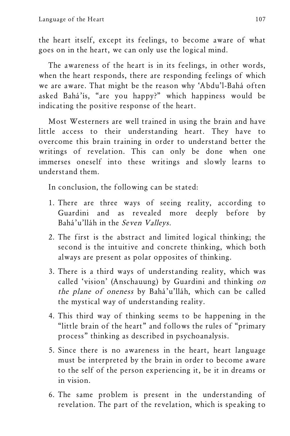the heart itself, except its feelings, to become aware of what goes on in the heart, we can only use the logical mind.

The awareness of the heart is in its feelings, in other words, when the heart responds, there are responding feelings of which we are aware. That might be the reason why 'Abdu'l-Bahá often asked Bahá'ís, "are you happy?" which happiness would be indicating the positive response of the heart.

Most Westerners are well trained in using the brain and have little access to their understanding heart. They have to overcome this brain training in order to understand better the writings of revelation. This can only be done when one immerses oneself into these writings and slowly learns to understand them.

In conclusion, the following can be stated:

- 1. There are three ways of seeing reality, according to Guardini and as revealed more deeply before by Bahá'u'lláh in the Seven Valleys.
- 2. The first is the abstract and limited logical thinking; the second is the intuitive and concrete thinking, which both always are present as polar opposites of thinking.
- 3. There is a third ways of understanding reality, which was called 'vision' (Anschauung) by Guardini and thinking on the plane of oneness by Bahá'u'lláh, which can be called the mystical way of understanding reality.
- 4. This third way of thinking seems to be happening in the "little brain of the heart" and follows the rules of "primary process" thinking as described in psychoanalysis.
- 5. Since there is no awareness in the heart, heart language must be interpreted by the brain in order to become aware to the self of the person experiencing it, be it in dreams or in vision.
- 6. The same problem is present in the understanding of revelation. The part of the revelation, which is speaking to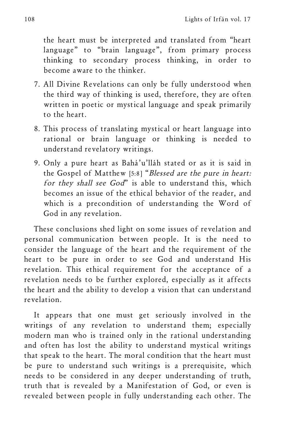the heart must be interpreted and translated from "heart language" to "brain language", from primary process thinking to secondary process thinking, in order to become aware to the thinker.

- 7. All Divine Revelations can only be fully understood when the third way of thinking is used, therefore, they are often written in poetic or mystical language and speak primarily to the heart.
- 8. This process of translating mystical or heart language into rational or brain language or thinking is needed to understand revelatory writings.
- 9. Only a pure heart as Bahá'u'lláh stated or as it is said in the Gospel of Matthew [5:8] "Blessed are the pure in heart: for they shall see God" is able to understand this, which becomes an issue of the ethical behavior of the reader, and which is a precondition of understanding the Word of God in any revelation.

These conclusions shed light on some issues of revelation and personal communication between people. It is the need to consider the language of the heart and the requirement of the heart to be pure in order to see God and understand His revelation. This ethical requirement for the acceptance of a revelation needs to be further explored, especially as it affects the heart and the ability to develop a vision that can understand revelation.

It appears that one must get seriously involved in the writings of any revelation to understand them; especially modern man who is trained only in the rational understanding and often has lost the ability to understand mystical writings that speak to the heart. The moral condition that the heart must be pure to understand such writings is a prerequisite, which needs to be considered in any deeper understanding of truth, truth that is revealed by a Manifestation of God, or even is revealed between people in fully understanding each other. The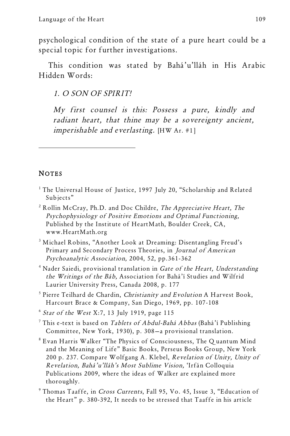psychological condition of the state of a pure heart could be a special topic for further investigations.

This condition was stated by Bahá'u'lláh in His Arabic Hidden Words:

#### 1. O SON OF SPIRIT!

My first counsel is this: Possess a pure, kindly and radiant heart, that thine may be a sovereignty ancient, imperishable and everlasting. [HW Ar. #1]

### **NOTES**

l

- <sup>1</sup> The Universal House of Justice, 1997 July 20, "Scholarship and Related Subjects"
- $2$  Rollin McCray, Ph.D. and Doc Childre, The Appreciative Heart, The Psychophysiology of Positive Emotions and Optimal Functioning, Published by the Institute of HeartMath, Boulder Creek, CA, www.HeartMath.org
- <sup>3</sup> Michael Robins, "Another Look at Dreaming: Disentangling Freud's Primary and Secondary Process Theories, in Journal of American Psychoanalytic Association, 2004, 52, pp.361-362
- <sup>4</sup> Nader Saiedi, provisional translation in *Gate of the Heart, Understanding* the Writings of the Báb, Association for Bahá'í Studies and Wilfrid Laurier University Press, Canada 2008, p. 177
- $5$  Pierre Teilhard de Chardin, *Christianity and Evolution* A Harvest Book, Harcourt Brace & Company, San Diego, 1969, pp. 107-108
- $6$  Star of the West X:7, 13 July 1919, page 115
- <sup>7</sup> This e-text is based on Tablets of Abdul-Bahá Abbas (Bahá'í Publishing Committee, New York, 1930), p. 308—a provisional translation.
- $8$  Evan Harris Walker "The Physics of Consciousness, The O uantum Mind and the Meaning of Life" Basic Books, Perseus Books Group, New York 200 p. 237. Compare Wolfgang A. Klebel, Revelation of Unity, Unity of Revelation, Bahá'u'lláh's Most Sublime Vision, 'Irfán Colloquia Publications 2009, where the ideas of Walker are explained more thoroughly.
- <sup>9</sup> Thomas Taaffe, in *Cross Currents*, Fall 95, Vo. 45, Issue 3, "Education of the Heart" p. 380-392, It needs to be stressed that Taaffe in his article